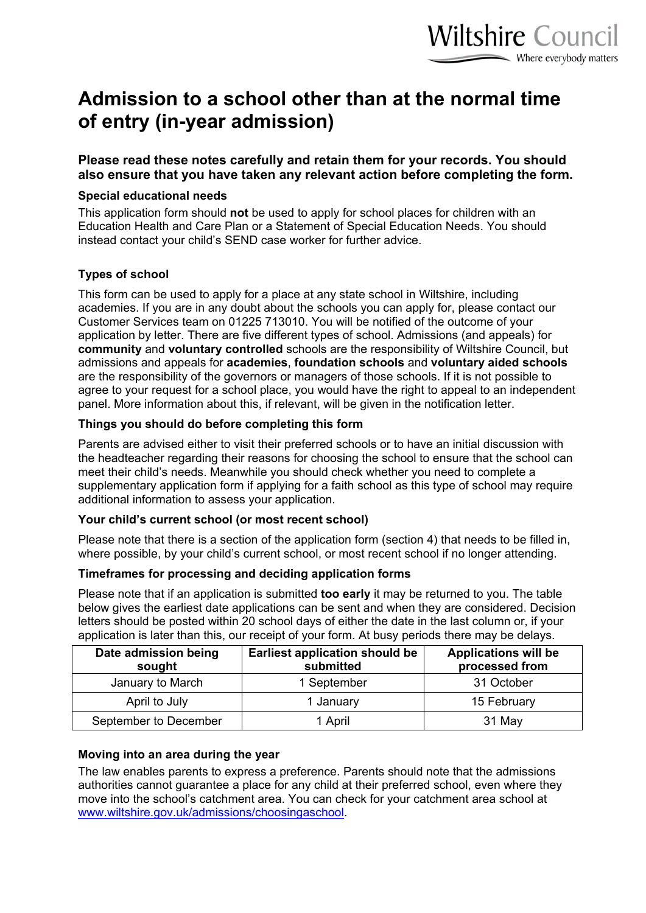# **Admission to a school other than at the normal time of entry (in-year admission)**

**Please read these notes carefully and retain them for your records. You should also ensure that you have taken any relevant action before completing the form.**

#### **Special educational needs**

This application form should **not** be used to apply for school places for children with an Education Health and Care Plan or a Statement of Special Education Needs. You should instead contact your child's SEND case worker for further advice.

### **Types of school**

This form can be used to apply for a place at any state school in Wiltshire, including academies. If you are in any doubt about the schools you can apply for, please contact our Customer Services team on 01225 713010. You will be notified of the outcome of your application by letter. There are five different types of school. Admissions (and appeals) for **community** and **voluntary controlled** schools are the responsibility of Wiltshire Council, but admissions and appeals for **academies**, **foundation schools** and **voluntary aided schools** are the responsibility of the governors or managers of those schools. If it is not possible to agree to your request for a school place, you would have the right to appeal to an independent panel. More information about this, if relevant, will be given in the notification letter.

### **Things you should do before completing this form**

Parents are advised either to visit their preferred schools or to have an initial discussion with the headteacher regarding their reasons for choosing the school to ensure that the school can meet their child's needs. Meanwhile you should check whether you need to complete a supplementary application form if applying for a faith school as this type of school may require additional information to assess your application.

### **Your child's current school (or most recent school)**

Please note that there is a section of the application form (section 4) that needs to be filled in, where possible, by your child's current school, or most recent school if no longer attending.

### **Timeframes for processing and deciding application forms**

Please note that if an application is submitted **too early** it may be returned to you. The table below gives the earliest date applications can be sent and when they are considered. Decision letters should be posted within 20 school days of either the date in the last column or, if your application is later than this, our receipt of your form. At busy periods there may be delays.

| Date admission being<br>sought | <b>Earliest application should be</b><br>submitted | <b>Applications will be</b><br>processed from |
|--------------------------------|----------------------------------------------------|-----------------------------------------------|
| January to March               | 1 September                                        | 31 October                                    |
| April to July                  | 1 January                                          | 15 February                                   |
| September to December          | 1 April                                            | 31 May                                        |

### **Moving into an area during the year**

The law enables parents to express a preference. Parents should note that the admissions authorities cannot guarantee a place for any child at their preferred school, even where they move into the school's catchment area. You can check for your catchment area school at [www.wiltshire.gov.uk/admissions/choosingaschool.](http://www.wiltshire.gov.uk/admissions/choosingaschool)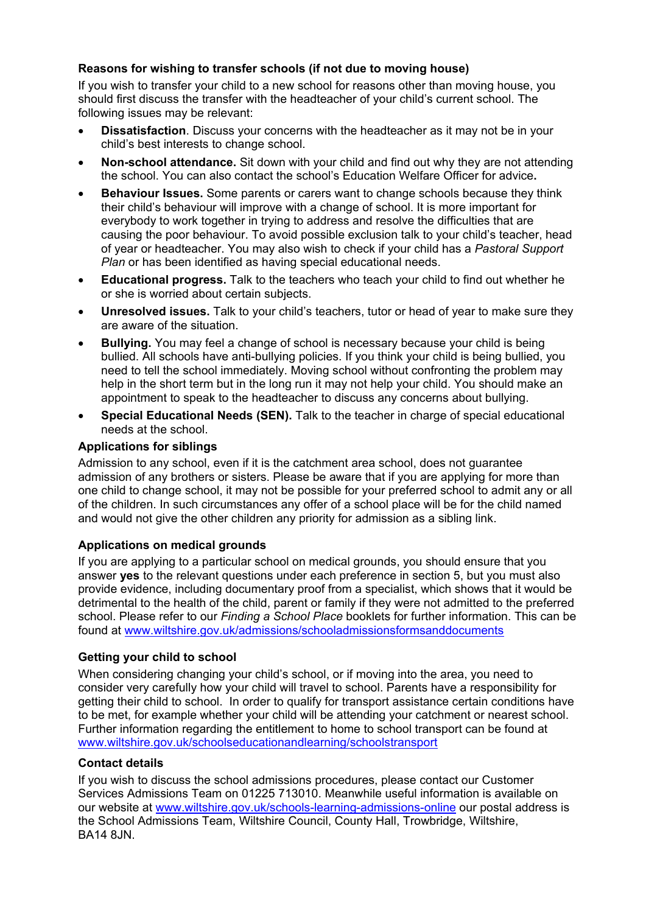### **Reasons for wishing to transfer schools (if not due to moving house)**

If you wish to transfer your child to a new school for reasons other than moving house, you should first discuss the transfer with the headteacher of your child's current school. The following issues may be relevant:

- **Dissatisfaction**. Discuss your concerns with the headteacher as it may not be in your child's best interests to change school.
- **Non-school attendance.** Sit down with your child and find out why they are not attending the school. You can also contact the school's Education Welfare Officer for advice**.**
- **Behaviour Issues.** Some parents or carers want to change schools because they think their child's behaviour will improve with a change of school. It is more important for everybody to work together in trying to address and resolve the difficulties that are causing the poor behaviour. To avoid possible exclusion talk to your child's teacher, head of year or headteacher. You may also wish to check if your child has a *Pastoral Support Plan* or has been identified as having special educational needs.
- **Educational progress.** Talk to the teachers who teach your child to find out whether he or she is worried about certain subjects.
- **Unresolved issues.** Talk to your child's teachers, tutor or head of year to make sure they are aware of the situation.
- **Bullying.** You may feel a change of school is necessary because your child is being bullied. All schools have anti-bullying policies. If you think your child is being bullied, you need to tell the school immediately. Moving school without confronting the problem may help in the short term but in the long run it may not help your child. You should make an appointment to speak to the headteacher to discuss any concerns about bullying.
- **Special Educational Needs (SEN).** Talk to the teacher in charge of special educational needs at the school.

### **Applications for siblings**

Admission to any school, even if it is the catchment area school, does not guarantee admission of any brothers or sisters. Please be aware that if you are applying for more than one child to change school, it may not be possible for your preferred school to admit any or all of the children. In such circumstances any offer of a school place will be for the child named and would not give the other children any priority for admission as a sibling link.

### **Applications on medical grounds**

If you are applying to a particular school on medical grounds, you should ensure that you answer **yes** to the relevant questions under each preference in section 5, but you must also provide evidence, including documentary proof from a specialist, which shows that it would be detrimental to the health of the child, parent or family if they were not admitted to the preferred school. Please refer to our *Finding a School Place* booklets for further information. This can be found at [www.wiltshire.gov.uk/admissions/schooladmissionsformsanddocuments](http://www.wiltshire.gov.uk/admissions/schooladmissionsformsanddocuments.htm)

### **Getting your child to school**

When considering changing your child's school, or if moving into the area, you need to consider very carefully how your child will travel to school. Parents have a responsibility for getting their child to school. In order to qualify for transport assistance certain conditions have to be met, for example whether your child will be attending your catchment or nearest school. Further information regarding the entitlement to home to school transport can be found at [www.wiltshire.gov.uk/schoolseducationandlearning/schoolstransport](http://www.wiltshire.gov.uk/schoolseducationandlearning/schoolstransport.htm)

### **Contact details**

If you wish to discuss the school admissions procedures, please contact our Customer Services Admissions Team on 01225 713010. Meanwhile useful information is available on our website at [www.wiltshire.gov.uk/schools-learning-admissions-online](http://www.wiltshire.gov.uk/schools-learning-admissions-online) our postal address is the School Admissions Team, Wiltshire Council, County Hall, Trowbridge, Wiltshire, BA14 8JN.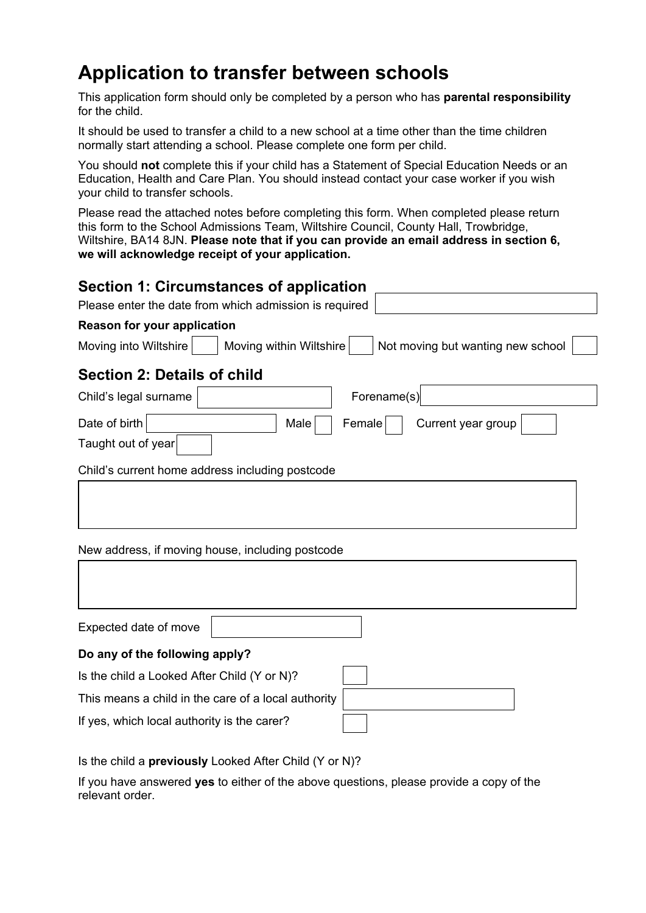# **Application to transfer between schools**

This application form should only be completed by a person who has **parental responsibility** for the child.

It should be used to transfer a child to a new school at a time other than the time children normally start attending a school. Please complete one form per child.

You should **not** complete this if your child has a Statement of Special Education Needs or an Education, Health and Care Plan. You should instead contact your case worker if you wish your child to transfer schools.

Please read the attached notes before completing this form. When completed please return this form to the School Admissions Team, Wiltshire Council, County Hall, Trowbridge, Wiltshire, BA14 8JN. **Please note that if you can provide an email address in section 6, we will acknowledge receipt of your application.**

| Section 1: Circumstances of application                                               |  |  |  |  |  |  |
|---------------------------------------------------------------------------------------|--|--|--|--|--|--|
| Please enter the date from which admission is required                                |  |  |  |  |  |  |
| <b>Reason for your application</b>                                                    |  |  |  |  |  |  |
| Moving into Wiltshire<br>Moving within Wiltshire<br>Not moving but wanting new school |  |  |  |  |  |  |
| <b>Section 2: Details of child</b>                                                    |  |  |  |  |  |  |
| Forename(s)<br>Child's legal surname                                                  |  |  |  |  |  |  |
| Date of birth<br>Female<br>Current year group<br>Male                                 |  |  |  |  |  |  |
| Taught out of year                                                                    |  |  |  |  |  |  |
| Child's current home address including postcode                                       |  |  |  |  |  |  |
| New address, if moving house, including postcode                                      |  |  |  |  |  |  |
|                                                                                       |  |  |  |  |  |  |
| Expected date of move                                                                 |  |  |  |  |  |  |
| Do any of the following apply?                                                        |  |  |  |  |  |  |
| Is the child a Looked After Child (Y or N)?                                           |  |  |  |  |  |  |
| This means a child in the care of a local authority                                   |  |  |  |  |  |  |
| If yes, which local authority is the carer?                                           |  |  |  |  |  |  |

Is the child a **previously** Looked After Child (Y or N)?

If you have answered **yes** to either of the above questions, please provide a copy of the relevant order.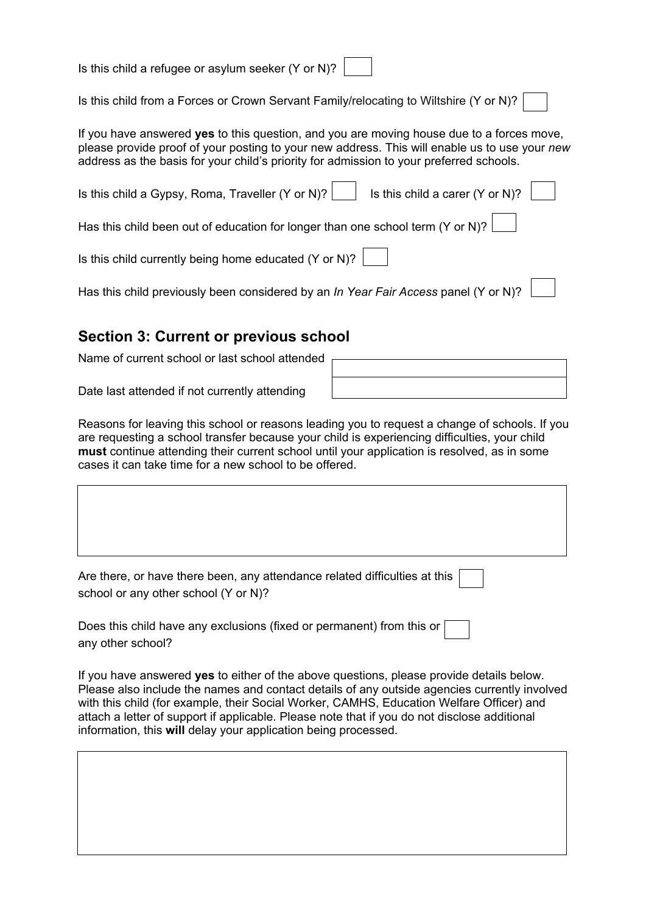| Is this child a refugee or asylum seeker (Y or N)? |  |  |
|----------------------------------------------------|--|--|
|----------------------------------------------------|--|--|

Is this child from a Forces or Crown Servant Family/relocating to Wiltshire (Y or N)?

If you have answered **yes** to this question, and you are moving house due to a forces move, please provide proof of your posting to your new address. This will enable us to use your *new* address as the basis for your child's priority for admission to your preferred schools.

| Is this child a Gypsy, Roma, Traveller (Y or N)? Is this child a carer (Y or N)?    |  |
|-------------------------------------------------------------------------------------|--|
| Has this child been out of education for longer than one school term (Y or N)?      |  |
| Is this child currently being home educated (Y or N)? $\vert$                       |  |
| Has this child previously been considered by an In Year Fair Access panel (Y or N)? |  |

# **Section 3: Current or previous school**

Name of current school or last school attended

Date last attended if not currently attending

Reasons for leaving this school or reasons leading you to request a change of schools. If you are requesting a school transfer because your child is experiencing difficulties, your child **must** continue attending their current school until your application is resolved, as in some cases it can take time for a new school to be offered.

| Are there, or have there been, any attendance related difficulties at this |  |
|----------------------------------------------------------------------------|--|
| school or any other school (Y or N)?                                       |  |

| Does this child have any exclusions (fixed or permanent) from this or $\Box$ |  |
|------------------------------------------------------------------------------|--|
| any other school?                                                            |  |

If you have answered **yes** to either of the above questions, please provide details below. Please also include the names and contact details of any outside agencies currently involved with this child (for example, their Social Worker, CAMHS, Education Welfare Officer) and attach a letter of support if applicable. Please note that if you do not disclose additional information, this **will** delay your application being processed.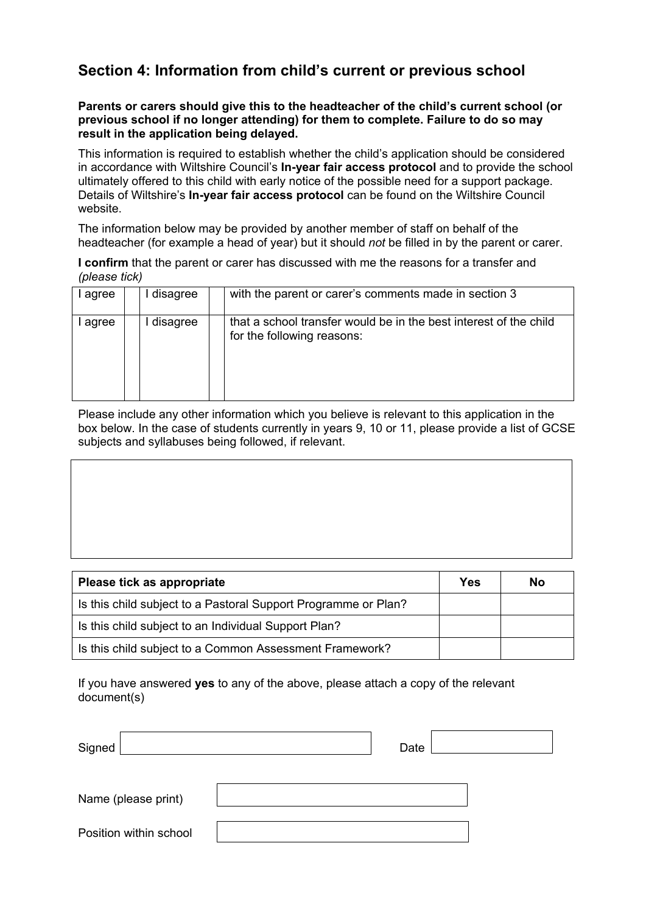## **Section 4: Information from child's current or previous school**

**Parents or carers should give this to the headteacher of the child's current school (or previous school if no longer attending) for them to complete. Failure to do so may result in the application being delayed.**

This information is required to establish whether the child's application should be considered in accordance with Wiltshire Council's **In-year fair access protocol** and to provide the school ultimately offered to this child with early notice of the possible need for a support package. Details of Wiltshire's **In-year fair access protocol** can be found on the Wiltshire Council website.

The information below may be provided by another member of staff on behalf of the headteacher (for example a head of year) but it should *not* be filled in by the parent or carer.

**I confirm** that the parent or carer has discussed with me the reasons for a transfer and *(please tick)*

| ' agree | disagree | with the parent or carer's comments made in section 3                                           |
|---------|----------|-------------------------------------------------------------------------------------------------|
| agree   | disagree | that a school transfer would be in the best interest of the child<br>for the following reasons: |

Please include any other information which you believe is relevant to this application in the box below. In the case of students currently in years 9, 10 or 11, please provide a list of GCSE subjects and syllabuses being followed, if relevant.

| Please tick as appropriate                                     | Yes | <b>No</b> |
|----------------------------------------------------------------|-----|-----------|
| Is this child subject to a Pastoral Support Programme or Plan? |     |           |
| Is this child subject to an Individual Support Plan?           |     |           |
| Is this child subject to a Common Assessment Framework?        |     |           |

If you have answered **yes** to any of the above, please attach a copy of the relevant document(s)

| Signed                 | Date |  |  |
|------------------------|------|--|--|
| Name (please print)    |      |  |  |
| Position within school |      |  |  |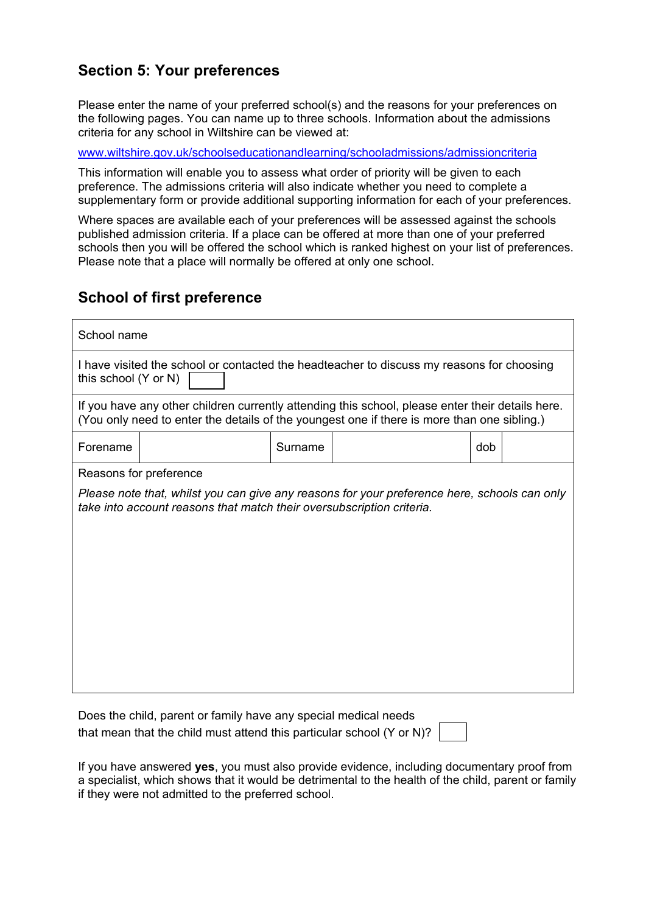# **Section 5: Your preferences**

Please enter the name of your preferred school(s) and the reasons for your preferences on the following pages. You can name up to three schools. Information about the admissions criteria for any school in Wiltshire can be viewed at:

[www.wiltshire.gov.uk/schoolseducationandlearning/schooladmissions/admissioncriteria](http://www.wiltshire.gov.uk/schoolseducationandlearning/schooladmissions/admissioncriteria.htm)

This information will enable you to assess what order of priority will be given to each preference. The admissions criteria will also indicate whether you need to complete a supplementary form or provide additional supporting information for each of your preferences.

Where spaces are available each of your preferences will be assessed against the schools published admission criteria. If a place can be offered at more than one of your preferred schools then you will be offered the school which is ranked highest on your list of preferences. Please note that a place will normally be offered at only one school.

# **School of first preference**

| Does the child, parent or family have any special medical needs                   |  |
|-----------------------------------------------------------------------------------|--|
| that mean that the child must attend this particular school (Y or N)? $\parallel$ |  |

If you have answered **yes**, you must also provide evidence, including documentary proof from a specialist, which shows that it would be detrimental to the health of the child, parent or family if they were not admitted to the preferred school.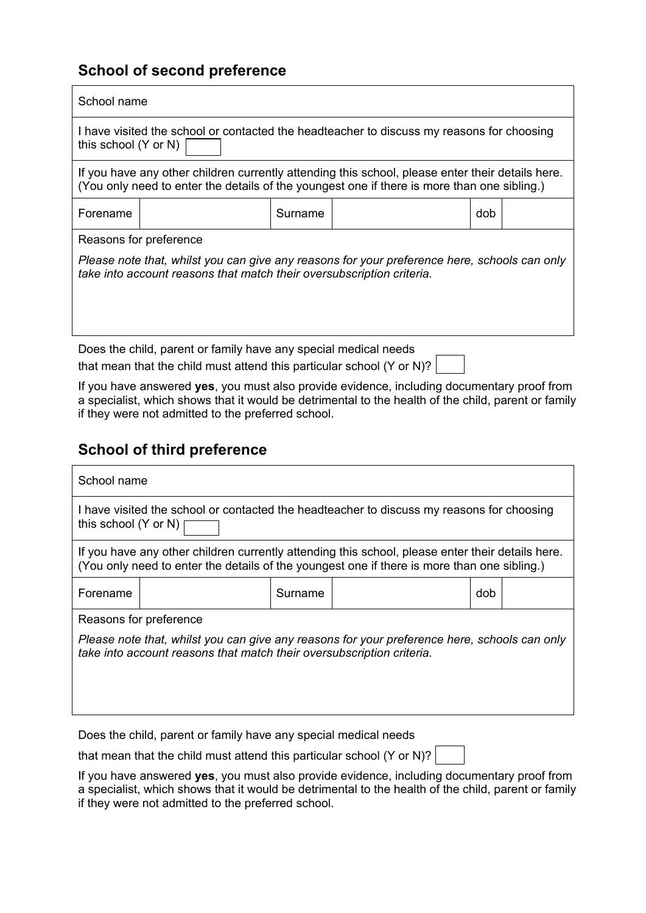# **School of second preference**

| School name                                                                                                                                                                                     |  |         |  |     |  |  |
|-------------------------------------------------------------------------------------------------------------------------------------------------------------------------------------------------|--|---------|--|-----|--|--|
| I have visited the school or contacted the headteacher to discuss my reasons for choosing<br>this school (Y or N)                                                                               |  |         |  |     |  |  |
| If you have any other children currently attending this school, please enter their details here.<br>(You only need to enter the details of the youngest one if there is more than one sibling.) |  |         |  |     |  |  |
| Forename                                                                                                                                                                                        |  | Surname |  | dob |  |  |
| Reasons for preference                                                                                                                                                                          |  |         |  |     |  |  |
| Please note that, whilst you can give any reasons for your preference here, schools can only<br>take into account reasons that match their oversubscription criteria.                           |  |         |  |     |  |  |
| Does the child, parent or family have any special medical needs                                                                                                                                 |  |         |  |     |  |  |

that mean that the child must attend this particular school (Y or N)?

If you have answered **yes**, you must also provide evidence, including documentary proof from a specialist, which shows that it would be detrimental to the health of the child, parent or family if they were not admitted to the preferred school.

# **School of third preference**

| School name                                                                                                                                                                                     |  |         |  |     |  |  |  |  |
|-------------------------------------------------------------------------------------------------------------------------------------------------------------------------------------------------|--|---------|--|-----|--|--|--|--|
| I have visited the school or contacted the headteacher to discuss my reasons for choosing<br>this school $(Y$ or N)                                                                             |  |         |  |     |  |  |  |  |
| If you have any other children currently attending this school, please enter their details here.<br>(You only need to enter the details of the youngest one if there is more than one sibling.) |  |         |  |     |  |  |  |  |
| Forename                                                                                                                                                                                        |  | Surname |  | dob |  |  |  |  |
| Reasons for preference<br>Please note that, whilst you can give any reasons for your preference here, schools can only<br>take into account reasons that match their oversubscription criteria. |  |         |  |     |  |  |  |  |

Does the child, parent or family have any special medical needs

that mean that the child must attend this particular school (Y or N)?

If you have answered **yes**, you must also provide evidence, including documentary proof from a specialist, which shows that it would be detrimental to the health of the child, parent or family if they were not admitted to the preferred school.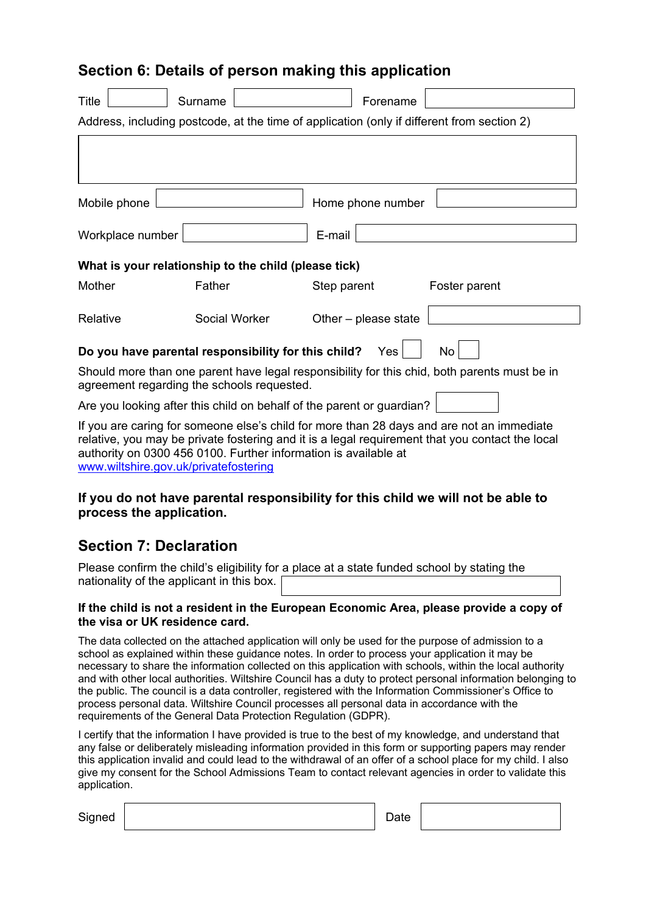# **Section 6: Details of person making this application**

| Title            | Surname                                              | Forename                                                                                                                                                                                                  |               |  |
|------------------|------------------------------------------------------|-----------------------------------------------------------------------------------------------------------------------------------------------------------------------------------------------------------|---------------|--|
|                  |                                                      | Address, including postcode, at the time of application (only if different from section 2)                                                                                                                |               |  |
|                  |                                                      |                                                                                                                                                                                                           |               |  |
|                  |                                                      |                                                                                                                                                                                                           |               |  |
| Mobile phone     |                                                      | Home phone number                                                                                                                                                                                         |               |  |
| Workplace number |                                                      | E-mail                                                                                                                                                                                                    |               |  |
|                  | What is your relationship to the child (please tick) |                                                                                                                                                                                                           |               |  |
| Mother           | Father                                               | Step parent                                                                                                                                                                                               | Foster parent |  |
| Relative         | Social Worker                                        | Other - please state                                                                                                                                                                                      |               |  |
|                  | Do you have parental responsibility for this child?  | Yes                                                                                                                                                                                                       | No            |  |
|                  | agreement regarding the schools requested.           | Should more than one parent have legal responsibility for this chid, both parents must be in                                                                                                              |               |  |
|                  |                                                      | Are you looking after this child on behalf of the parent or guardian?                                                                                                                                     |               |  |
|                  |                                                      | If you are caring for someone else's child for more than 28 days and are not an immediate<br>dhee see aan deel het wadelske kooksade die stelling tot in die deel de deelde deel klimake deel ook de deel |               |  |

relative, you may be private fostering and it is a legal requirement that you contact the local authority on 0300 456 0100. Further information is available at [www.wiltshire.gov.uk/privatefostering](http://www.wiltshire.gov.uk/privatefostering)

### **If you do not have parental responsibility for this child we will not be able to process the application.**

# **Section 7: Declaration**

Please confirm the child's eligibility for a place at a state funded school by stating the nationality of the applicant in this box.

#### **If the child is not a resident in the European Economic Area, please provide a copy of the visa or UK residence card.**

The data collected on the attached application will only be used for the purpose of admission to a school as explained within these guidance notes. In order to process your application it may be necessary to share the information collected on this application with schools, within the local authority and with other local authorities. Wiltshire Council has a duty to protect personal information belonging to the public. The council is a data controller, registered with the Information Commissioner's Office to process personal data. Wiltshire Council processes all personal data in accordance with the requirements of the General Data Protection Regulation (GDPR).

I certify that the information I have provided is true to the best of my knowledge, and understand that any false or deliberately misleading information provided in this form or supporting papers may render this application invalid and could lead to the withdrawal of an offer of a school place for my child. I also give my consent for the School Admissions Team to contact relevant agencies in order to validate this application.

| Signed |  | Date |
|--------|--|------|
|--------|--|------|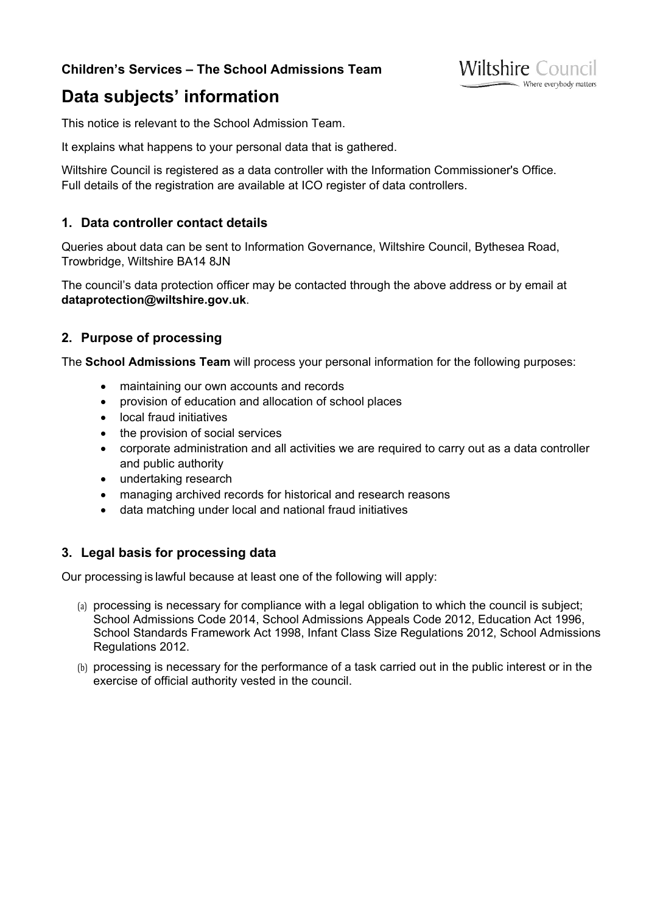### **Children's Services – The School Admissions Team**

# **Data subjects' information**

This notice is relevant to the School Admission Team.

It explains what happens to your personal data that is gathered.

Wiltshire Council is registered as a data controller with the Information Commissioner's Office. Full details of the registration are available at [ICO register of data controllers.](https://ico.org.uk/ESDWebPages/Entry/Z1668953)

**Wiltshire Council** 

Where everybody matters

### **1. Data controller contact details**

Queries about data can be sent to Information Governance, Wiltshire Council, Bythesea Road, Trowbridge, Wiltshire BA14 8JN

The council's data protection officer may be contacted through the above address or by email at **[dataprotection@wiltshire.gov.uk](mailto:dataprotection@wiltshire.gov.uk)**.

### **2. Purpose of processing**

The **School Admissions Team** will process your personal information for the following purposes:

- maintaining our own accounts and records
- provision of education and allocation of school places
- local fraud initiatives
- the provision of social services
- corporate administration and all activities we are required to carry out as a data controller and public authority
- undertaking research
- managing archived records for historical and research reasons
- data matching under local and national fraud initiatives

### **3. Legal basis for processing data**

Our processing is lawful because at least one of the following will apply:

- (a) processing is necessary for compliance with a legal obligation to which the council is subject; School Admissions Code 2014, School Admissions Appeals Code 2012, Education Act 1996, School Standards Framework Act 1998, Infant Class Size Regulations 2012, School Admissions Regulations 2012.
- (b) processing is necessary for the performance of a task carried out in the public interest or in the exercise of official authority vested in the council.